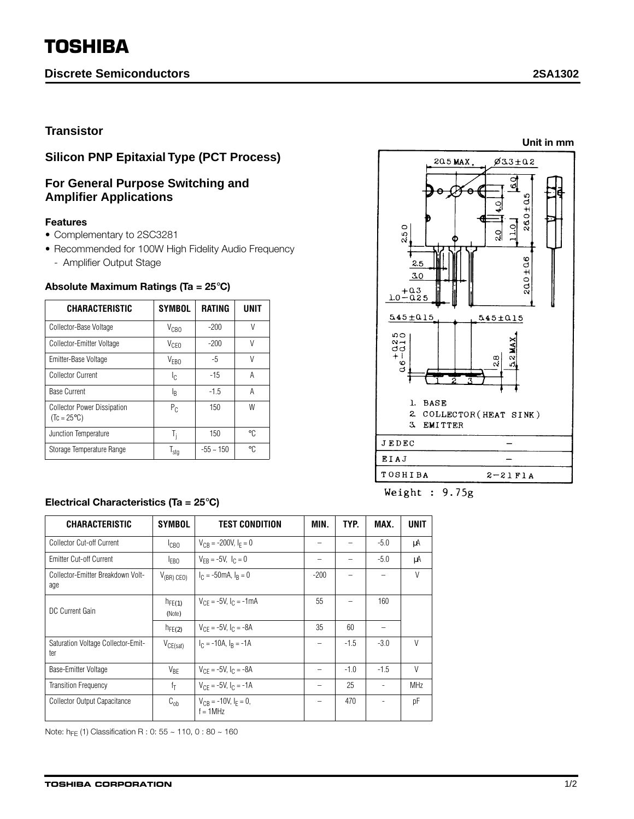# **TOSHIBA**

## **Discrete Semiconductors 2SA1302**

**Unit in mm**

## **Transistor**

# **Silicon PNP Epitaxial Type (PCT Process)**

## **For General Purpose Switching and Amplifier Applications**

#### **Features**

- Complementary to 2SC3281
- Recommended for 100W High Fidelity Audio Frequency
	- Amplifier Output Stage

| <b>CHARACTERISTIC</b>                                      | <b>SYMBOL</b>    | <b>RATING</b>  | UNIT   |  |
|------------------------------------------------------------|------------------|----------------|--------|--|
| Collector-Base Voltage                                     | $V_{CBO}$        | $-200$         | V      |  |
| Collector-Emitter Voltage                                  | V <sub>CEO</sub> | $-200$         | $\vee$ |  |
| Emitter-Base Voltage                                       | V <sub>FBO</sub> | $-5$           | V      |  |
| Collector Current                                          | Ic.              | $-15$          | А      |  |
| <b>Base Current</b>                                        | ΙŖ               | $-1.5$         | А      |  |
| <b>Collector Power Dissipation</b><br>$(Tc = 25^{\circ}C)$ | $P_{C}$          | 150            | W      |  |
| Junction Temperature                                       | T,               | 150            | ۰C,    |  |
| Storage Temperature Range                                  | $I_{\text{stg}}$ | $-55 \sim 150$ | ۰C.    |  |

#### **Absolute Maximum Ratings (Ta = 25**°**C)**



Weight :  $9.75g$ 

| <b>CHARACTERISTIC</b>                     | <b>SYMBOL</b>         | <b>TEST CONDITION</b>                       | MIN.   | TYP.   | MAX.                     | <b>UNIT</b> |
|-------------------------------------------|-----------------------|---------------------------------------------|--------|--------|--------------------------|-------------|
| Collector Cut-off Current                 | I <sub>CB0</sub>      | $V_{CR}$ = -200V, $I_F = 0$                 | -      |        | $-5.0$                   | μA          |
| Emitter Cut-off Current                   | <b>FBO</b>            | $V_{FR} = -5V$ , $I_C = 0$                  | -      |        | $-5.0$                   | μA          |
| Collector-Emitter Breakdown Volt-<br>age  | $V_{(BR)$ CEO)        | $I_C = -50$ mA, $I_R = 0$                   | $-200$ |        |                          | V           |
| DC Current Gain                           | $h_{FE(1)}$<br>(Note) | $V_{CF} = -5V$ , $I_C = -1mA$               | 55     |        | 160                      |             |
|                                           | $h_{FE(2)}$           | $V_{CF} = -5V$ , $I_C = -8A$                | 35     | 60     |                          |             |
| Saturation Voltage Collector-Emit-<br>ter | $V_{CE(sat)}$         | $IC = -10A$ , $IR = -1A$                    | -      | $-1.5$ | $-3.0$                   | V           |
| Base-Emitter Voltage                      | $V_{BE}$              | $V_{CF} = -5V$ , $I_C = -8A$                |        | $-1.0$ | $-1.5$                   | V           |
| <b>Transition Frequency</b>               | fŢ                    | $V_{CF} = -5V$ , $I_C = -1A$                | -      | 25     | $\overline{\phantom{a}}$ | <b>MHz</b>  |
| Collector Output Capacitance              | $C_{ob}$              | $V_{CR}$ = -10V, $I_F = 0$ ,<br>$f = 1$ MHz | -      | 470    |                          | pF          |

Note:  $h_{FF}$  (1) Classification R : 0: 55 ~ 110, 0 : 80 ~ 160

## **Electrical Characteristics (Ta = 25**°**C)**